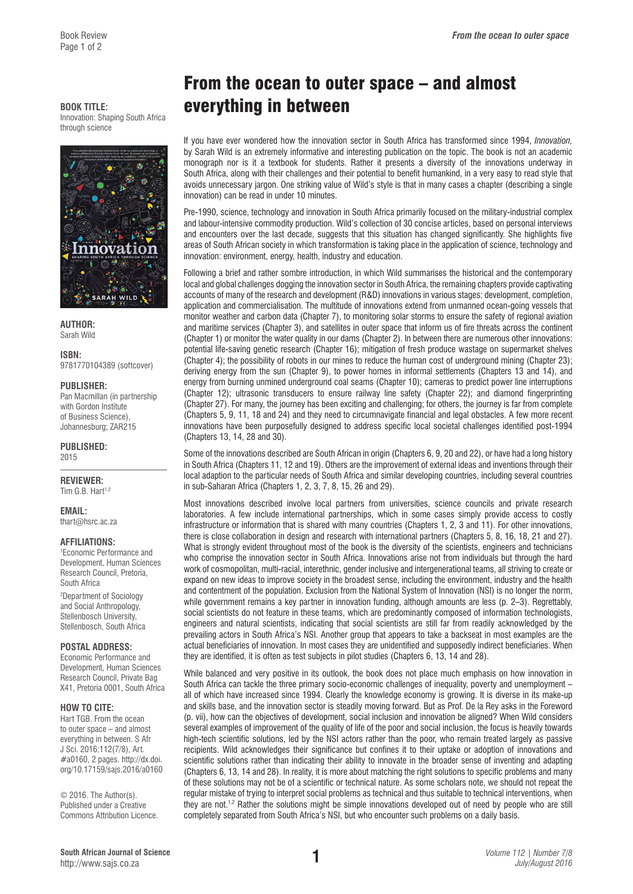Book Review *From the ocean to outer space*

through science



**AUTHOR:**  Sarah Wild

**ISBN:**  9781770104389 (softcover)

#### **PUBLISHER:**

Pan Macmillan (in partnership with Gordon Institute of Business Science), Johannesburg; ZAR215

**PUBLISHED:**  2015

**REVIEWER:**  Tim G.B. Hart<sup>1,2</sup>

**EMAIL:** 

[thart@hsrc.ac.za](mailto:thart@hsrc.ac.za)

### **AFFILIATIONS:**

1 Economic Performance and Development, Human Sciences Research Council, Pretoria, South Africa

2 Department of Sociology and Social Anthropology, Stellenbosch University, Stellenbosch, South Africa

### **POSTAL ADDRESS:**

Economic Performance and Development, Human Sciences Research Council, Private Bag X41, Pretoria 0001, South Africa

### **HOW TO CITE:**

Hart TGB. From the ocean to outer space – and almost everything in between. S Afr J Sci. 2016;112(7/8), Art. #a0160, 2 pages. [http://dx.doi.](http://dx.doi.org/10.17159/sajs.2016/a0160) [org/10.17159/sajs.2016/a0160](http://dx.doi.org/10.17159/sajs.2016/a0160)

© 2016. The Author(s). Published under a Creative Commons Attribution Licence.

# From the ocean to outer space – and almost **BOOK TITLE: everything in between**

If you have ever wondered how the innovation sector in South Africa has transformed since 1994, *Innovation,*  by Sarah Wild is an extremely informative and interesting publication on the topic. The book is not an academic monograph nor is it a textbook for students. Rather it presents a diversity of the innovations underway in South Africa, along with their challenges and their potential to benefit humankind, in a very easy to read style that avoids unnecessary jargon. One striking value of Wild's style is that in many cases a chapter (describing a single innovation) can be read in under 10 minutes.

Pre-1990, science, technology and innovation in South Africa primarily focused on the military-industrial complex and labour-intensive commodity production. Wild's collection of 30 concise articles, based on personal interviews and encounters over the last decade, suggests that this situation has changed significantly. She highlights five areas of South African society in which transformation is taking place in the application of science, technology and innovation: environment, energy, health, industry and education.

Following a brief and rather sombre introduction, in which Wild summarises the historical and the contemporary local and global challenges dogging the innovation sector in South Africa, the remaining chapters provide captivating accounts of many of the research and development (R&D) innovations in various stages: development, completion, application and commercialisation. The multitude of innovations extend from unmanned ocean-going vessels that monitor weather and carbon data (Chapter 7), to monitoring solar storms to ensure the safety of regional aviation and maritime services (Chapter 3), and satellites in outer space that inform us of fire threats across the continent (Chapter 1) or monitor the water quality in our dams (Chapter 2). In between there are numerous other innovations: potential life-saving genetic research (Chapter 16); mitigation of fresh produce wastage on supermarket shelves (Chapter 4); the possibility of robots in our mines to reduce the human cost of underground mining (Chapter 23); deriving energy from the sun (Chapter 9), to power homes in informal settlements (Chapters 13 and 14), and energy from burning unmined underground coal seams (Chapter 10); cameras to predict power line interruptions (Chapter 12); ultrasonic transducers to ensure railway line safety (Chapter 22); and diamond fingerprinting (Chapter 27). For many, the journey has been exciting and challenging; for others, the journey is far from complete (Chapters 5, 9, 11, 18 and 24) and they need to circumnavigate financial and legal obstacles. A few more recent innovations have been purposefully designed to address specific local societal challenges identified post-1994 (Chapters 13, 14, 28 and 30).

Some of the innovations described are South African in origin (Chapters 6, 9, 20 and 22), or have had a long history in South Africa (Chapters 11, 12 and 19). Others are the improvement of external ideas and inventions through their local adaption to the particular needs of South Africa and similar developing countries, including several countries in sub-Saharan Africa (Chapters 1, 2, 3, 7, 8, 15, 26 and 29).

Most innovations described involve local partners from universities, science councils and private research laboratories. A few include international partnerships, which in some cases simply provide access to costly infrastructure or information that is shared with many countries (Chapters 1, 2, 3 and 11). For other innovations, there is close collaboration in design and research with international partners (Chapters 5, 8, 16, 18, 21 and 27). What is strongly evident throughout most of the book is the diversity of the scientists, engineers and technicians who comprise the innovation sector in South Africa. Innovations arise not from individuals but through the hard work of cosmopolitan, multi-racial, interethnic, gender inclusive and intergenerational teams, all striving to create or expand on new ideas to improve society in the broadest sense, including the environment, industry and the health and contentment of the population. Exclusion from the National System of Innovation (NSI) is no longer the norm, while government remains a key partner in innovation funding, although amounts are less (p. 2–3). Regrettably, social scientists do not feature in these teams, which are predominantly composed of information technologists, engineers and natural scientists, indicating that social scientists are still far from readily acknowledged by the prevailing actors in South Africa's NSI. Another group that appears to take a backseat in most examples are the actual beneficiaries of innovation. In most cases they are unidentified and supposedly indirect beneficiaries. When they are identified, it is often as test subjects in pilot studies (Chapters 6, 13, 14 and 28).

While balanced and very positive in its outlook, the book does not place much emphasis on how innovation in South Africa can tackle the three primary socio-economic challenges of inequality, poverty and unemployment – all of which have increased since 1994. Clearly the knowledge economy is growing. It is diverse in its make-up and skills base, and the innovation sector is steadily moving forward. But as Prof. De la Rey asks in the Foreword (p. vii), how can the objectives of development, social inclusion and innovation be aligned? When Wild considers several examples of improvement of the quality of life of the poor and social inclusion, the focus is heavily towards high-tech scientific solutions, led by the NSI actors rather than the poor, who remain treated largely as passive recipients. Wild acknowledges their significance but confines it to their uptake or adoption of innovations and scientific solutions rather than indicating their ability to innovate in the broader sense of inventing and adapting (Chapters 6, 13, 14 and 28). In reality, it is more about matching the right solutions to specific problems and many of these solutions may not be of a scientific or technical nature. As some scholars note, we should not repeat the regular mistake of trying to interpret social problems as technical and thus suitable to technical interventions, when they are not.<sup>1,2</sup> Rather the solutions might be simple innovations developed out of need by people who are still completely separated from South Africa's NSI, but who encounter such problems on a daily basis.